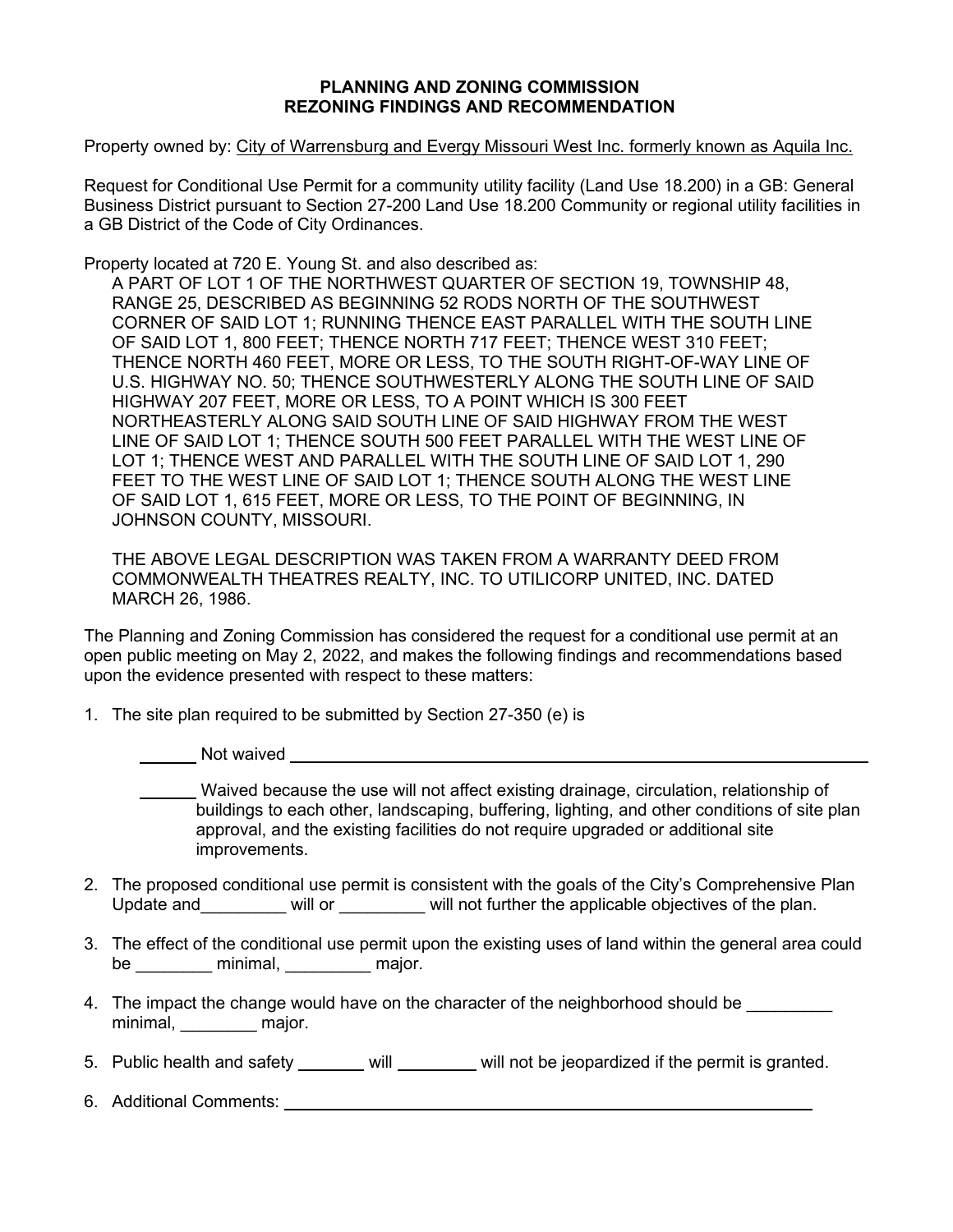## **PLANNING AND ZONING COMMISSION REZONING FINDINGS AND RECOMMENDATION**

Property owned by: City of Warrensburg and Evergy Missouri West Inc. formerly known as Aquila Inc.

Request for Conditional Use Permit for a community utility facility (Land Use 18.200) in a GB: General Business District pursuant to Section 27-200 Land Use 18.200 Community or regional utility facilities in a GB District of the Code of City Ordinances.

Property located at 720 E. Young St. and also described as:

A PART OF LOT 1 OF THE NORTHWEST QUARTER OF SECTION 19, TOWNSHIP 48, RANGE 25, DESCRIBED AS BEGINNING 52 RODS NORTH OF THE SOUTHWEST CORNER OF SAID LOT 1; RUNNING THENCE EAST PARALLEL WITH THE SOUTH LINE OF SAID LOT 1, 800 FEET; THENCE NORTH 717 FEET; THENCE WEST 310 FEET; THENCE NORTH 460 FEET, MORE OR LESS, TO THE SOUTH RIGHT-OF-WAY LINE OF U.S. HIGHWAY NO. 50; THENCE SOUTHWESTERLY ALONG THE SOUTH LINE OF SAID HIGHWAY 207 FEET, MORE OR LESS, TO A POINT WHICH IS 300 FEET NORTHEASTERLY ALONG SAID SOUTH LINE OF SAID HIGHWAY FROM THE WEST LINE OF SAID LOT 1; THENCE SOUTH 500 FEET PARALLEL WITH THE WEST LINE OF LOT 1; THENCE WEST AND PARALLEL WITH THE SOUTH LINE OF SAID LOT 1, 290 FEET TO THE WEST LINE OF SAID LOT 1; THENCE SOUTH ALONG THE WEST LINE OF SAID LOT 1, 615 FEET, MORE OR LESS, TO THE POINT OF BEGINNING, IN JOHNSON COUNTY, MISSOURI.

THE ABOVE LEGAL DESCRIPTION WAS TAKEN FROM A WARRANTY DEED FROM COMMONWEALTH THEATRES REALTY, INC. TO UTILICORP UNITED, INC. DATED MARCH 26, 1986.

The Planning and Zoning Commission has considered the request for a conditional use permit at an open public meeting on May 2, 2022, and makes the following findings and recommendations based upon the evidence presented with respect to these matters:

1. The site plan required to be submitted by Section 27-350 (e) is

Not waived

 Waived because the use will not affect existing drainage, circulation, relationship of buildings to each other, landscaping, buffering, lighting, and other conditions of site plan approval, and the existing facilities do not require upgraded or additional site improvements.

- 2. The proposed conditional use permit is consistent with the goals of the City's Comprehensive Plan Update and will or will not further the applicable objectives of the plan.
- 3. The effect of the conditional use permit upon the existing uses of land within the general area could be minimal, major.
- 4. The impact the change would have on the character of the neighborhood should be minimal, major.
- 5. Public health and safety will will will not be jeopardized if the permit is granted.
- 6. Additional Comments: